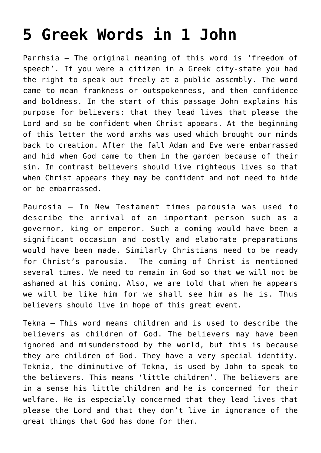## **[5 Greek Words in 1 John](https://caleboloan.me.uk/5-greek-words-in-1-john/)**

Parrhsia – The original meaning of this word is 'freedom of speech'. If you were a citizen in a Greek city-state you had the right to speak out freely at a public assembly. The word came to mean frankness or outspokenness, and then confidence and boldness. In the start of this passage John explains his purpose for believers: that they lead lives that please the Lord and so be confident when Christ appears. At the beginning of this letter the word arxhs was used which brought our minds back to creation. After the fall Adam and Eve were embarrassed and hid when God came to them in the garden because of their sin. In contrast believers should live righteous lives so that when Christ appears they may be confident and not need to hide or be embarrassed.

Paurosia – In New Testament times parousia was used to describe the arrival of an important person such as a governor, king or emperor. Such a coming would have been a significant occasion and costly and elaborate preparations would have been made. Similarly Christians need to be ready for Christ's parousia. The coming of Christ is mentioned several times. We need to remain in God so that we will not be ashamed at his coming. Also, we are told that when he appears we will be like him for we shall see him as he is. Thus believers should live in hope of this great event.

Tekna – This word means children and is used to describe the believers as children of God. The believers may have been ignored and misunderstood by the world, but this is because they are children of God. They have a very special identity. Teknia, the diminutive of Tekna, is used by John to speak to the believers. This means 'little children'. The believers are in a sense his little children and he is concerned for their welfare. He is especially concerned that they lead lives that please the Lord and that they don't live in ignorance of the great things that God has done for them.